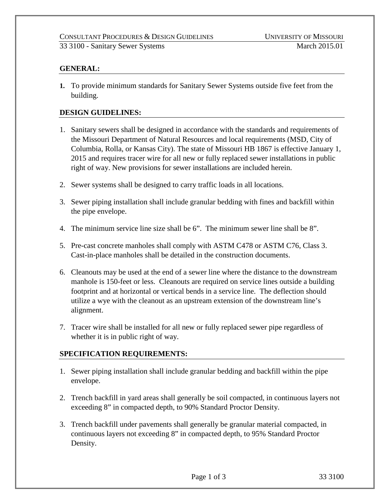33 3100 - Sanitary Sewer Systems March 2015.01

## **GENERAL:**

**1.** To provide minimum standards for Sanitary Sewer Systems outside five feet from the building.

## **DESIGN GUIDELINES:**

- 1. Sanitary sewers shall be designed in accordance with the standards and requirements of the Missouri Department of Natural Resources and local requirements (MSD, City of Columbia, Rolla, or Kansas City). The state of Missouri HB 1867 is effective January 1, 2015 and requires tracer wire for all new or fully replaced sewer installations in public right of way. New provisions for sewer installations are included herein.
- 2. Sewer systems shall be designed to carry traffic loads in all locations.
- 3. Sewer piping installation shall include granular bedding with fines and backfill within the pipe envelope.
- 4. The minimum service line size shall be 6". The minimum sewer line shall be 8".
- 5. Pre-cast concrete manholes shall comply with ASTM C478 or ASTM C76, Class 3. Cast-in-place manholes shall be detailed in the construction documents.
- 6. Cleanouts may be used at the end of a sewer line where the distance to the downstream manhole is 150-feet or less. Cleanouts are required on service lines outside a building footprint and at horizontal or vertical bends in a service line. The deflection should utilize a wye with the cleanout as an upstream extension of the downstream line's alignment.
- 7. Tracer wire shall be installed for all new or fully replaced sewer pipe regardless of whether it is in public right of way.

## **SPECIFICATION REQUIREMENTS:**

- 1. Sewer piping installation shall include granular bedding and backfill within the pipe envelope.
- 2. Trench backfill in yard areas shall generally be soil compacted, in continuous layers not exceeding 8" in compacted depth, to 90% Standard Proctor Density.
- 3. Trench backfill under pavements shall generally be granular material compacted, in continuous layers not exceeding 8" in compacted depth, to 95% Standard Proctor Density.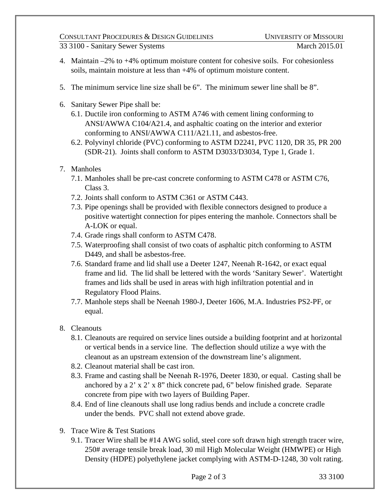## CONSULTANT PROCEDURES & DESIGN GUIDELINES UNIVERSITY OF MISSOURI

- 4. Maintain –2% to +4% optimum moisture content for cohesive soils. For cohesionless soils, maintain moisture at less than +4% of optimum moisture content.
- 5. The minimum service line size shall be 6". The minimum sewer line shall be 8".
- 6. Sanitary Sewer Pipe shall be:
	- 6.1. Ductile iron conforming to ASTM A746 with cement lining conforming to ANSI/AWWA C104/A21.4, and asphaltic coating on the interior and exterior conforming to ANSI/AWWA C111/A21.11, and asbestos-free.
	- 6.2. Polyvinyl chloride (PVC) conforming to ASTM D2241, PVC 1120, DR 35, PR 200 (SDR-21). Joints shall conform to ASTM D3033/D3034, Type 1, Grade 1.
- 7. Manholes
	- 7.1. Manholes shall be pre-cast concrete conforming to ASTM C478 or ASTM C76, Class 3.
	- 7.2. Joints shall conform to ASTM C361 or ASTM C443.
	- 7.3. Pipe openings shall be provided with flexible connectors designed to produce a positive watertight connection for pipes entering the manhole. Connectors shall be A-LOK or equal.
	- 7.4. Grade rings shall conform to ASTM C478.
	- 7.5. Waterproofing shall consist of two coats of asphaltic pitch conforming to ASTM D449, and shall be asbestos-free.
	- 7.6. Standard frame and lid shall use a Deeter 1247, Neenah R-1642, or exact equal frame and lid. The lid shall be lettered with the words 'Sanitary Sewer'. Watertight frames and lids shall be used in areas with high infiltration potential and in Regulatory Flood Plains.
	- 7.7. Manhole steps shall be Neenah 1980-J, Deeter 1606, M.A. Industries PS2-PF, or equal.
- 8. Cleanouts
	- 8.1. Cleanouts are required on service lines outside a building footprint and at horizontal or vertical bends in a service line. The deflection should utilize a wye with the cleanout as an upstream extension of the downstream line's alignment.
	- 8.2. Cleanout material shall be cast iron.
	- 8.3. Frame and casting shall be Neenah R-1976, Deeter 1830, or equal. Casting shall be anchored by a 2' x 2' x 8" thick concrete pad, 6" below finished grade. Separate concrete from pipe with two layers of Building Paper.
	- 8.4. End of line cleanouts shall use long radius bends and include a concrete cradle under the bends. PVC shall not extend above grade.
- 9. Trace Wire & Test Stations
	- 9.1. Tracer Wire shall be #14 AWG solid, steel core soft drawn high strength tracer wire, 250# average tensile break load, 30 mil High Molecular Weight (HMWPE) or High Density (HDPE) polyethylene jacket complying with ASTM-D-1248, 30 volt rating.